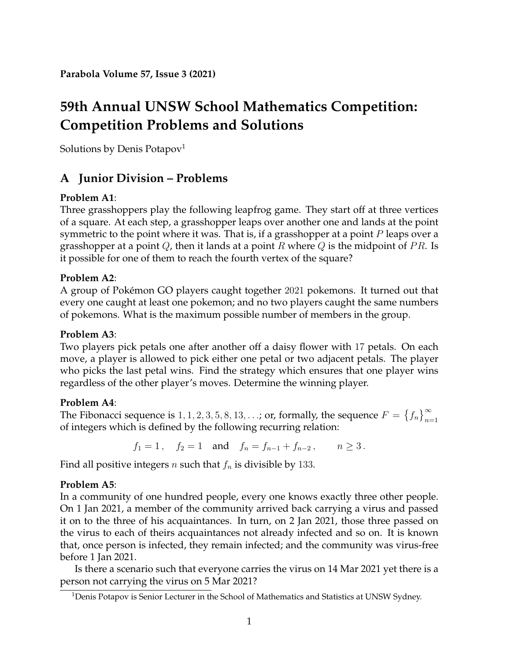# **59th Annual UNSW School Mathematics Competition: Competition Problems and Solutions**

Solutions by Denis Potapov<sup>[1](#page-0-0)</sup>

## **A Junior Division – Problems**

## **Problem A1**:

Three grasshoppers play the following leapfrog game. They start off at three vertices of a square. At each step, a grasshopper leaps over another one and lands at the point symmetric to the point where it was. That is, if a grasshopper at a point  $P$  leaps over a grasshopper at a point  $Q$ , then it lands at a point R where  $Q$  is the midpoint of PR. Is it possible for one of them to reach the fourth vertex of the square?

## **Problem A2**:

A group of Pokémon GO players caught together 2021 pokemons. It turned out that every one caught at least one pokemon; and no two players caught the same numbers of pokemons. What is the maximum possible number of members in the group.

## **Problem A3**:

Two players pick petals one after another off a daisy flower with 17 petals. On each move, a player is allowed to pick either one petal or two adjacent petals. The player who picks the last petal wins. Find the strategy which ensures that one player wins regardless of the other player's moves. Determine the winning player.

## **Problem A4**:

The Fibonacci sequence is  $1, 1, 2, 3, 5, 8, 13, \ldots$ ; or, formally, the sequence  $F = \{f_n\}_{n=1}^{\infty}$ of integers which is defined by the following recurring relation:

 $f_1 = 1$ ,  $f_2 = 1$  and  $f_n = f_{n-1} + f_{n-2}$ ,  $n \ge 3$ .

Find all positive integers *n* such that  $f_n$  is divisible by 133.

## **Problem A5**:

In a community of one hundred people, every one knows exactly three other people. On 1 Jan 2021, a member of the community arrived back carrying a virus and passed it on to the three of his acquaintances. In turn, on 2 Jan 2021, those three passed on the virus to each of theirs acquaintances not already infected and so on. It is known that, once person is infected, they remain infected; and the community was virus-free before 1 Jan 2021.

Is there a scenario such that everyone carries the virus on 14 Mar 2021 yet there is a person not carrying the virus on 5 Mar 2021?

<span id="page-0-0"></span><sup>&</sup>lt;sup>1</sup>Denis Potapov is Senior Lecturer in the School of Mathematics and Statistics at UNSW Sydney.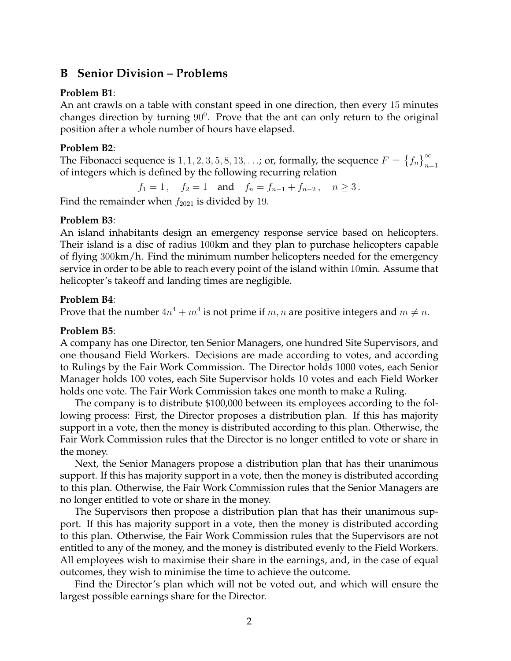## **B Senior Division – Problems**

#### **Problem B1**:

An ant crawls on a table with constant speed in one direction, then every 15 minutes changes direction by turning  $90^0$ . Prove that the ant can only return to the original position after a whole number of hours have elapsed.

#### **Problem B2**:

The Fibonacci sequence is  $1, 1, 2, 3, 5, 8, 13, \ldots$ ; or, formally, the sequence  $F = \{f_n\}_{n=1}^{\infty}$ of integers which is defined by the following recurring relation

 $f_1 = 1$ ,  $f_2 = 1$  and  $f_n = f_{n-1} + f_{n-2}$ ,  $n \ge 3$ .

Find the remainder when  $f_{2021}$  is divided by 19.

#### **Problem B3**:

An island inhabitants design an emergency response service based on helicopters. Their island is a disc of radius 100km and they plan to purchase helicopters capable of flying 300km/h. Find the minimum number helicopters needed for the emergency service in order to be able to reach every point of the island within 10min. Assume that helicopter's takeoff and landing times are negligible.

#### **Problem B4**:

Prove that the number  $4n^4 + m^4$  is not prime if  $m, n$  are positive integers and  $m \neq n$ .

#### **Problem B5**:

A company has one Director, ten Senior Managers, one hundred Site Supervisors, and one thousand Field Workers. Decisions are made according to votes, and according to Rulings by the Fair Work Commission. The Director holds 1000 votes, each Senior Manager holds 100 votes, each Site Supervisor holds 10 votes and each Field Worker holds one vote. The Fair Work Commission takes one month to make a Ruling.

The company is to distribute \$100,000 between its employees according to the following process: First, the Director proposes a distribution plan. If this has majority support in a vote, then the money is distributed according to this plan. Otherwise, the Fair Work Commission rules that the Director is no longer entitled to vote or share in the money.

Next, the Senior Managers propose a distribution plan that has their unanimous support. If this has majority support in a vote, then the money is distributed according to this plan. Otherwise, the Fair Work Commission rules that the Senior Managers are no longer entitled to vote or share in the money.

The Supervisors then propose a distribution plan that has their unanimous support. If this has majority support in a vote, then the money is distributed according to this plan. Otherwise, the Fair Work Commission rules that the Supervisors are not entitled to any of the money, and the money is distributed evenly to the Field Workers. All employees wish to maximise their share in the earnings, and, in the case of equal outcomes, they wish to minimise the time to achieve the outcome.

Find the Director's plan which will not be voted out, and which will ensure the largest possible earnings share for the Director.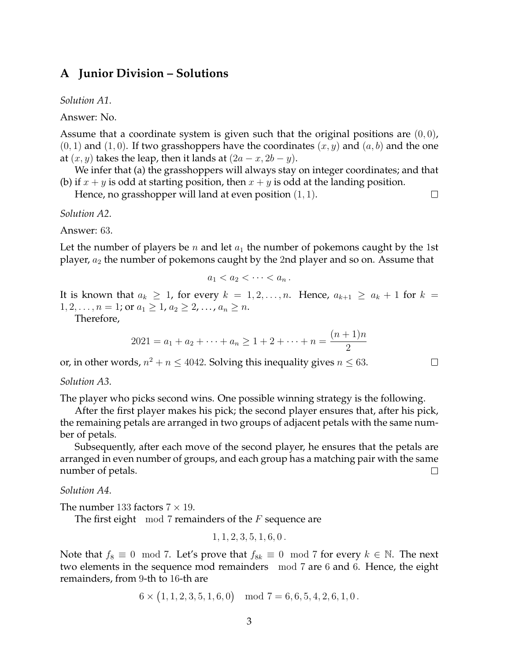### **A Junior Division – Solutions**

*Solution A1*.

Answer: No.

Assume that a coordinate system is given such that the original positions are  $(0, 0)$ ,  $(0, 1)$  and  $(1, 0)$ . If two grasshoppers have the coordinates  $(x, y)$  and  $(a, b)$  and the one at  $(x, y)$  takes the leap, then it lands at  $(2a - x, 2b - y)$ .

We infer that (a) the grasshoppers will always stay on integer coordinates; and that (b) if  $x + y$  is odd at starting position, then  $x + y$  is odd at the landing position.

Hence, no grasshopper will land at even position (1, 1).

 $\Box$ 

 $\Box$ 

*Solution A2*.

Answer: 63.

Let the number of players be  $n$  and let  $a_1$  the number of pokemons caught by the 1st player,  $a_2$  the number of pokemons caught by the 2nd player and so on. Assume that

$$
a_1 < a_2 < \cdots < a_n.
$$

It is known that  $a_k \geq 1$ , for every  $k = 1, 2, \ldots, n$ . Hence,  $a_{k+1} \geq a_k + 1$  for  $k =$  $1, 2, \ldots, n = 1$ ; or  $a_1 \geq 1, a_2 \geq 2, \ldots, a_n \geq n$ .

Therefore,

$$
2021 = a_1 + a_2 + \dots + a_n \ge 1 + 2 + \dots + n = \frac{(n+1)n}{2}
$$

or, in other words,  $n^2 + n \le 4042$ . Solving this inequality gives  $n \le 63$ .

*Solution A3*.

The player who picks second wins. One possible winning strategy is the following.

After the first player makes his pick; the second player ensures that, after his pick, the remaining petals are arranged in two groups of adjacent petals with the same number of petals.

Subsequently, after each move of the second player, he ensures that the petals are arranged in even number of groups, and each group has a matching pair with the same number of petals.  $\Box$ 

*Solution A4*.

The number 133 factors  $7 \times 19$ .

The first eight  $mod 7$  remainders of the F sequence are

$$
1, 1, 2, 3, 5, 1, 6, 0.
$$

Note that  $f_8 \equiv 0 \mod 7$ . Let's prove that  $f_{8k} \equiv 0 \mod 7$  for every  $k \in \mathbb{N}$ . The next two elements in the sequence mod remainders mod 7 are 6 and 6. Hence, the eight remainders, from 9-th to 16-th are

 $6 \times (1, 1, 2, 3, 5, 1, 6, 0) \mod 7 = 6, 6, 5, 4, 2, 6, 1, 0$ .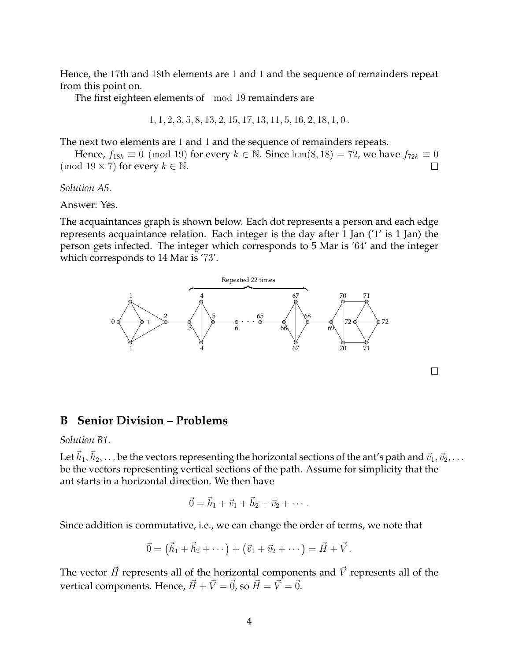Hence, the 17th and 18th elements are 1 and 1 and the sequence of remainders repeat from this point on.

The first eighteen elements of mod 19 remainders are

$$
1, 1, 2, 3, 5, 8, 13, 2, 15, 17, 13, 11, 5, 16, 2, 18, 1, 0.
$$

The next two elements are 1 and 1 and the sequence of remainders repeats.

Hence,  $f_{18k} \equiv 0 \pmod{19}$  for every  $k \in \mathbb{N}$ . Since  $\text{lcm}(8, 18) = 72$ , we have  $f_{72k} \equiv 0$ (mod  $19 \times 7$ ) for every  $k \in \mathbb{N}$ . П

*Solution A5*.

Answer: Yes.

The acquaintances graph is shown below. Each dot represents a person and each edge represents acquaintance relation. Each integer is the day after 1 Jan ('1' is 1 Jan) the person gets infected. The integer which corresponds to 5 Mar is '64' and the integer which corresponds to 14 Mar is '73'.



#### **B Senior Division – Problems**

#### *Solution B1*.

Let  $\vec{h}_1,\vec{h}_2,\ldots$  be the vectors representing the horizontal sections of the ant's path and  $\vec{v}_1,\vec{v}_2,\ldots$ be the vectors representing vertical sections of the path. Assume for simplicity that the ant starts in a horizontal direction. We then have

$$
\vec{0} = \vec{h}_1 + \vec{v}_1 + \vec{h}_2 + \vec{v}_2 + \cdots.
$$

Since addition is commutative, i.e., we can change the order of terms, we note that

$$
\vec{0} = (\vec{h}_1 + \vec{h}_2 + \cdots) + (\vec{v}_1 + \vec{v}_2 + \cdots) = \vec{H} + \vec{V}.
$$

The vector  $\vec{H}$  represents all of the horizontal components and  $\vec{V}$  represents all of the vertical components. Hence,  $\vec{H} + \vec{V} = \vec{0}$ , so  $\vec{H} = \vec{V} = \vec{0}$ .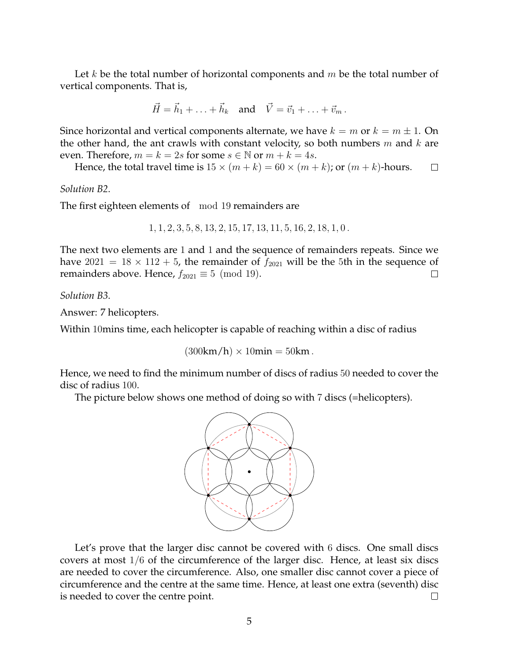Let k be the total number of horizontal components and  $m$  be the total number of vertical components. That is,

$$
\vec{H} = \vec{h}_1 + \ldots + \vec{h}_k \quad \text{and} \quad \vec{V} = \vec{v}_1 + \ldots + \vec{v}_m \, .
$$

Since horizontal and vertical components alternate, we have  $k = m$  or  $k = m \pm 1$ . On the other hand, the ant crawls with constant velocity, so both numbers  $m$  and  $k$  are even. Therefore,  $m = k = 2s$  for some  $s \in \mathbb{N}$  or  $m + k = 4s$ .

Hence, the total travel time is  $15 \times (m+k) = 60 \times (m+k)$ ; or  $(m+k)$ -hours.  $\Box$ 

*Solution B2*.

The first eighteen elements of mod 19 remainders are

1, 1, 2, 3, 5, 8, 13, 2, 15, 17, 13, 11, 5, 16, 2, 18, 1, 0 .

The next two elements are 1 and 1 and the sequence of remainders repeats. Since we have  $2021 = 18 \times 112 + 5$ , the remainder of  $f_{2021}$  will be the 5th in the sequence of remainders above. Hence,  $f_{2021} \equiv 5 \pmod{19}$ . П

*Solution B3*.

Answer: 7 helicopters.

Within 10mins time, each helicopter is capable of reaching within a disc of radius

 $(300 \text{km/h}) \times 10 \text{min} = 50 \text{km}$ .

Hence, we need to find the minimum number of discs of radius 50 needed to cover the disc of radius 100.

The picture below shows one method of doing so with 7 discs (=helicopters).



Let's prove that the larger disc cannot be covered with 6 discs. One small discs covers at most 1/6 of the circumference of the larger disc. Hence, at least six discs are needed to cover the circumference. Also, one smaller disc cannot cover a piece of circumference and the centre at the same time. Hence, at least one extra (seventh) disc is needed to cover the centre point. П